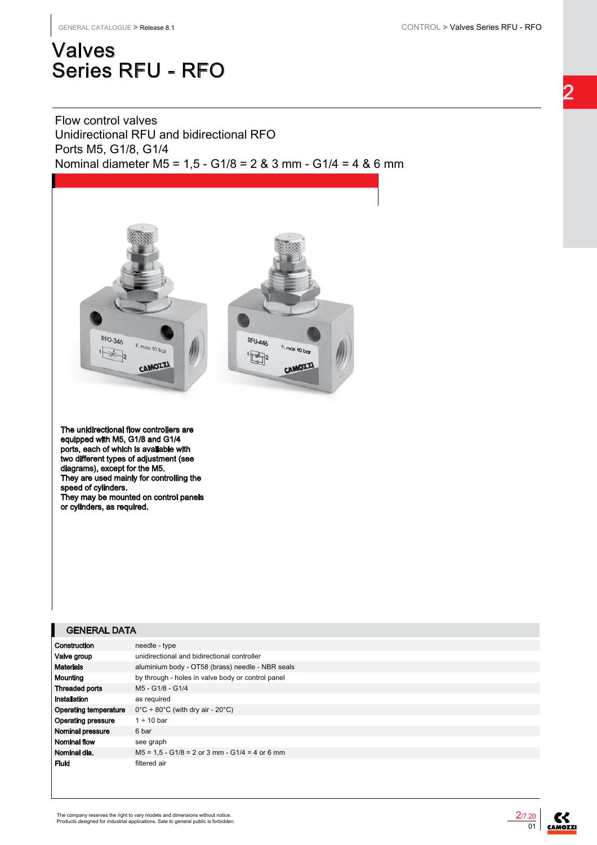# Valves Series RFU - RFO

Flow control valves Unidirectional RFU and bidirectional RFO Ports M5, G1/8, G1/4 Nominal diameter M5 = 1,5 - G1/8 = 2 & 3 mm - G1/4 = 4 & 6 mm



The unidirectional flow controllers are equipped with M5, G1/8 and G1/4 ports, each of which is available with two different types of adjustment (see diagrams), except for the M5. They are used mainly for controlling the speed of cylinders. They may be mounted on control panels or cylinders, as required.

#### GENERAL DATA

| Construction                 | needle - type                                                    |
|------------------------------|------------------------------------------------------------------|
| Valve group                  | unidirectional and bidirectional controller                      |
| <b>Materials</b>             | aluminium body - OT58 (brass) needle - NBR seals                 |
| Mounting                     | by through - holes in valve body or control panel                |
| <b>Threaded ports</b>        | M5 - G1/8 - G1/4                                                 |
| Installation                 | as required                                                      |
| <b>Operating temperature</b> | $0^{\circ}$ C ÷ 80 $^{\circ}$ C (with dry air - 20 $^{\circ}$ C) |
| Operating pressure           | $1 \div 10$ bar                                                  |
| Nominal pressure             | 6 bar                                                            |
| Nominal flow                 | see graph                                                        |
| Nominal dia.                 | $M5 = 1.5 - G1/8 = 2$ or 3 mm - G1/4 = 4 or 6 mm                 |
| Fluid                        | filtered air                                                     |



**CAMOZZI**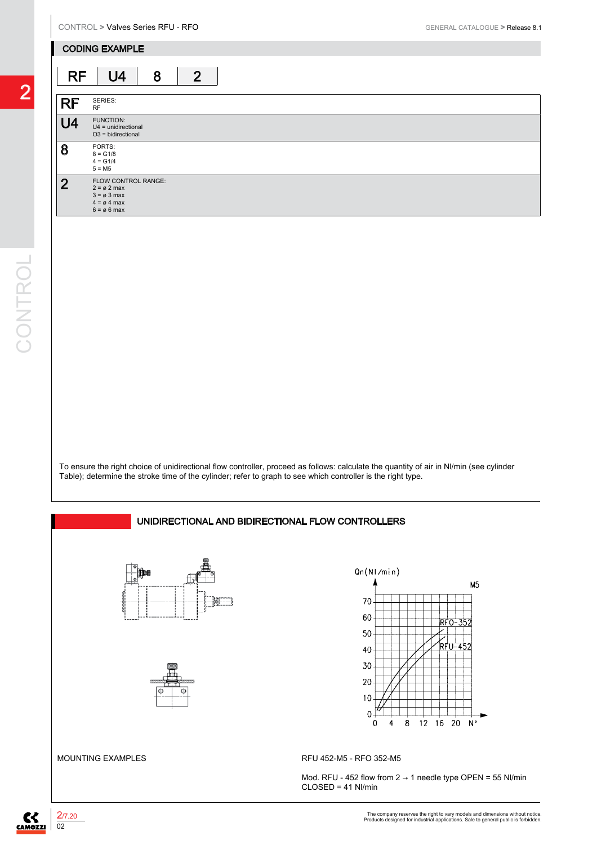#### CODING EXAMPLE

# RF U4 8 2

| rч             | U4                                                                                                                      | O | ∠ |
|----------------|-------------------------------------------------------------------------------------------------------------------------|---|---|
|                |                                                                                                                         |   |   |
| <b>RF</b>      | SERIES:<br><b>RF</b>                                                                                                    |   |   |
| U <sub>4</sub> | FUNCTION:<br>$U4 =$ unidirectional<br>$O3 = bidirectional$                                                              |   |   |
| 8              | PORTS:<br>$8 = G1/8$<br>$4 = G1/4$<br>$5 = M5$                                                                          |   |   |
| $\overline{2}$ | FLOW CONTROL RANGE:<br>$2 = \emptyset$ 2 max<br>$3 = \emptyset 3$ max<br>$4 = \emptyset 4$ max<br>$6 = \emptyset 6$ max |   |   |

To ensure the right choice of unidirectional flow controller, proceed as follows: calculate the quantity of air in Nl/min (see cylinder Table); determine the stroke time of the cylinder; refer to graph to see which controller is the right type.

### UNIDIRECTIONAL AND BIDIRECTIONAL FLOW CONTROLLERS







MOUNTING EXAMPLES RFU 452-M5 - RFO 352-M5

Mod. RFU - 452 flow from  $2 \rightarrow 1$  needle type OPEN = 55 Nl/min CLOSED = 41 Nl/min

2

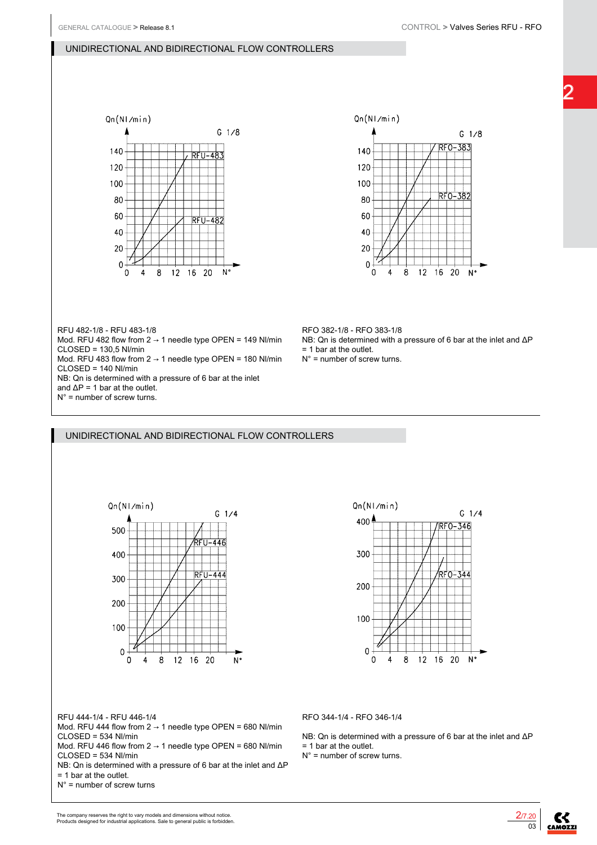## 2



### UNIDIRECTIONAL AND BIDIRECTIONAL FLOW CONTROLLERS

UNIDIRECTIONAL AND BIDIRECTIONAL FLOW CONTROLLERS



## $Qn(N1/min)$  $G_1/4$ 400 RFO-346 300 200 100  $\mathbf 0$  $\ddot{\mathbf{0}}$  $12$  16 20  $N^{\circ}$ 8

RFU 444-1/4 - RFU 446-1/4

Mod. RFU 444 flow from  $2 \rightarrow 1$  needle type OPEN = 680 Nl/min CLOSED = 534 Nl/min

Mod. RFU 446 flow from  $2 \rightarrow 1$  needle type OPEN = 680 Nl/min  $CI$  OSED = 534 Nl/min

NB: Qn is determined with a pressure of 6 bar at the inlet and ΔP = 1 bar at the outlet.

 $N^\circ$  = number of screw turns

RFO 344-1/4 - RFO 346-1/4

NB: Qn is determined with a pressure of 6 bar at the inlet and ΔP = 1 bar at the outlet.

 $N^\circ$  = number of screw turns.



CAMOZZI